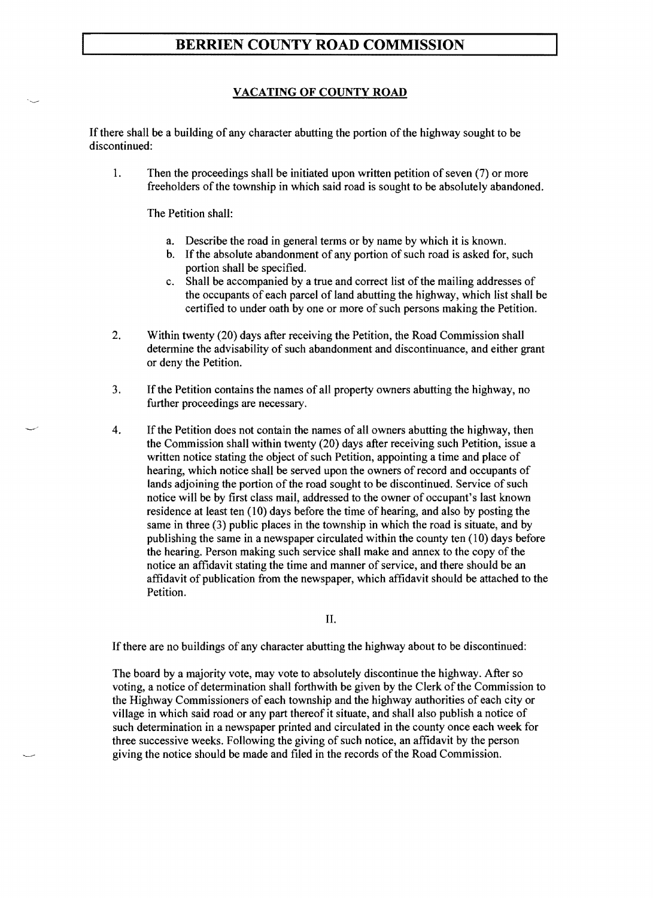# **BERRIEN COUNTY ROAD DEPARTMENT**

#### VACATING OF COUNTY ROAD

If there shall be a building of any character abutting the portion of the highway sought to be discontinued:

1. Then the proceedings shall be initiated upon written petition of seven (7) or more freeholders of the township in which said road is sought to be absolutely abandoned.

The Petition shall:

- a. Describe the road in general terms or by name by which it is known.
- b. If the absolute abandonment of any portion of such road is asked for, such portion shall be specified.
- c. Shall be accompanied by a true and correct list of the mailing addresses of the occupants of each parcel of land abutting the highway, which list shall be certified to under oath by one or more of such persons making the Petition.
- 2. Within twenty (20) days after receiving the Petition, the Road Department shall determine the advisability of such abandonment and discontinuance, and either grant or deny the Petition.
- 3. If the Petition contains the names of all property owners abutting the highway, no further proceedings are necessary.
- 4. Ifthe Petition does not contain the names of all owners abutting the highway, then the Commission shall within twenty (20) days after receiving such Petition, issue a written notice stating the object of such Petition, appointing a time and place of hearing, which notice shall be served upon the owners of record and occupants of lands adjoining the portion of the road sought to be discontinued. Service of such notice will be by first class mail, addressed to the owner of occupant's last known residence at least ten (10) days before the time of hearing, and also by posting the same in three (3) public places in the township in which the road is situate, and by publishing the same in a newspaper circulated within the county ten (10) days before the hearing. Person making such service shall make and annex to the copy of the notice an affidavit stating the time and manner of service, and there should be an affidavit of publication from the newspaper, which affidavit should be attached to the Petition.

II.

If there are no buildings of any character abutting the highway about to be discontinued:

The board by a majority vote, may vote to absolutely discontinue the highway. After so voting, a notice of determination shall forthwith be given by the Clerk of the Commission to the Highway Commissioners of each township and the highway authorities of each city or village in which said road or any part thereof it situate, and shall also publish a notice of such determination in a newspaper printed and circulated in the county once each week for three successive weeks. Following the giving of such notice, an affidavit by the person giving the notice should be made and filed in the records of the Road Department.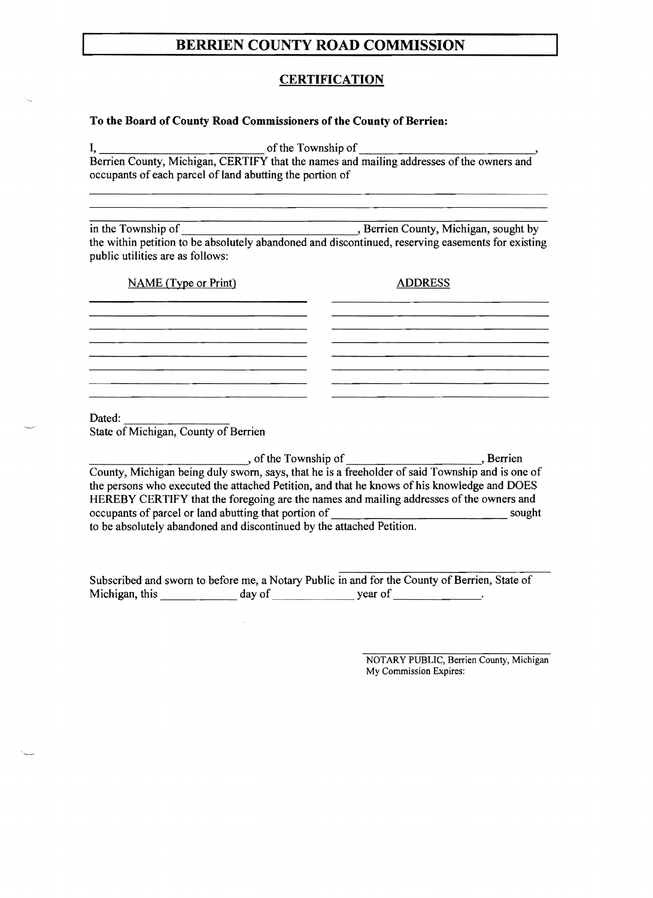### BERRIEN COUNTY ROAD DEPARTMENT

#### **CERTIFICATION**

#### To the Board of County Commissioners of the County of Berrien:

I, ofthe Township

Berrien County, Michigan, CERTIFY that the names and mailing addresses of the owners and occupants of each parcel of land abutting the portion of

in the Township of , Berrien County, Michigan, sought by the within petition to be absolutely abandoned and discontinued, reserving easements for existing public utilities are as follows:

NAME (Type or Print) ADDRESS

Dated: <br>State of Michigan, County of Berrien

Los Communications and the Township of Los Communications and Berrien Berrien County, Michigan being duly sworn, says, that he is a freeholder of said Township and is one of the persons who executed the attached Petition, and that he knows of his knowledge and DOES HEREBY CERTIFY that the foregoing are the names and mailing addresses of the owners and occupants of parcel or land abutting that portion of sought to be absolutely abandoned and discontinued by the attached Petition.

Subscribed and sworn to before me, a Notary Public in and for the County of Berrien, State of Michigan, this day of general day of general set of general set of general set of general set of general set of  $\frac{1}{\sqrt{2\pi}}$ .

 $\bar{\mathcal{A}}$ 

NOTARY PUBLIC, Berrien County, Michigan My Commission Expires: